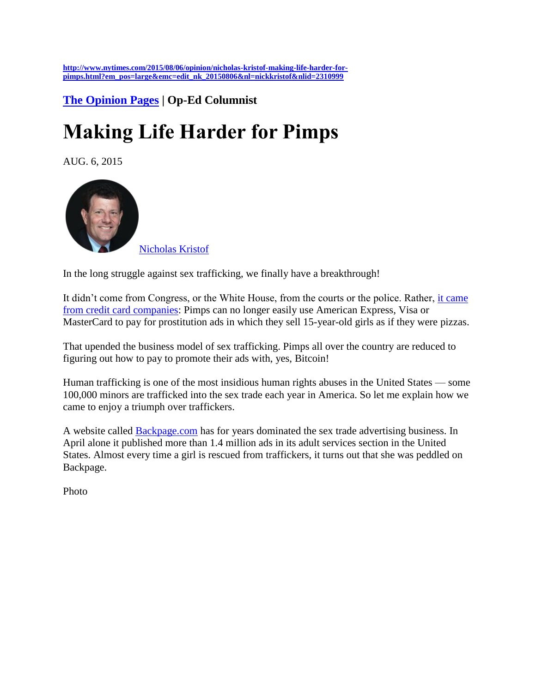**[http://www.nytimes.com/2015/08/06/opinion/nicholas-kristof-making-life-harder-for](http://www.nytimes.com/2015/08/06/opinion/nicholas-kristof-making-life-harder-for-pimps.html?em_pos=large&emc=edit_nk_20150806&nl=nickkristof&nlid=2310999)[pimps.html?em\\_pos=large&emc=edit\\_nk\\_20150806&nl=nickkristof&nlid=2310999](http://www.nytimes.com/2015/08/06/opinion/nicholas-kristof-making-life-harder-for-pimps.html?em_pos=large&emc=edit_nk_20150806&nl=nickkristof&nlid=2310999)**

**[The Opinion Pages](http://www.nytimes.com/pages/opinion/index.html) | Op-Ed Columnist** 

## **Making Life Harder for Pimps**

AUG. 6, 2015



[Nicholas Kristof](http://www.nytimes.com/column/nicholas-kristof)

In the long struggle against sex trafficking, we finally have a breakthrough!

It didn't come from Congress, or the White House, from the courts or the police. Rather, it came [from credit card companies:](http://www.chicagotribune.com/news/ct-sheriff-prostitution-visa-mastercard-met-20150630-story.html) Pimps can no longer easily use American Express, Visa or MasterCard to pay for prostitution ads in which they sell 15-year-old girls as if they were pizzas.

That upended the business model of sex trafficking. Pimps all over the country are reduced to figuring out how to pay to promote their ads with, yes, Bitcoin!

Human trafficking is one of the most insidious human rights abuses in the United States — some 100,000 minors are trafficked into the sex trade each year in America. So let me explain how we came to enjoy a triumph over traffickers.

A website called [Backpage.com](http://www.backpage.com/) has for years dominated the sex trade advertising business. In April alone it published more than 1.4 million ads in its adult services section in the United States. Almost every time a girl is rescued from traffickers, it turns out that she was peddled on Backpage.

Photo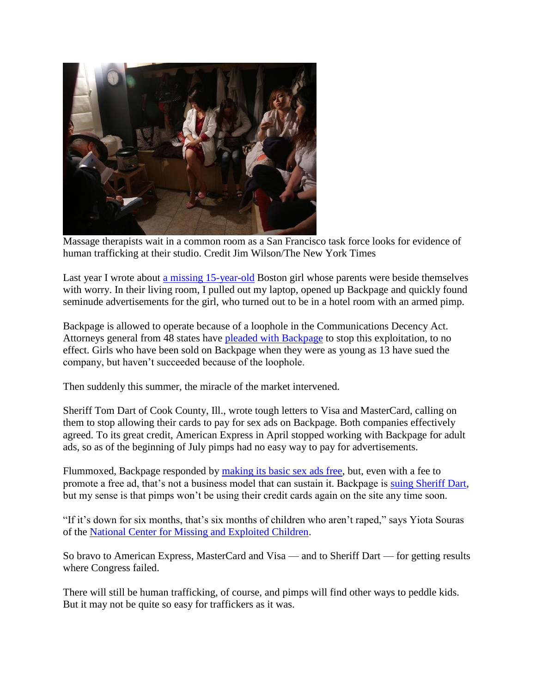

Massage therapists wait in a common room as a San Francisco task force looks for evidence of human trafficking at their studio. Credit Jim Wilson/The New York Times

Last year I wrote about [a missing 15-year-old](http://www.nytimes.com/2014/02/13/opinion/kristof-when-emily-was-sold-for-sex.html) Boston girl whose parents were beside themselves with worry. In their living room, I pulled out my laptop, opened up Backpage and quickly found seminude advertisements for the girl, who turned out to be in a hotel room with an armed pimp.

Backpage is allowed to operate because of a loophole in the Communications Decency Act. Attorneys general from 48 states have [pleaded with Backpage](http://www.naag.org/assets/files/pdf/signons/Backpage.com%20FINAL%209-16-11.pdf) to stop this exploitation, to no effect. Girls who have been sold on Backpage when they were as young as 13 have sued the company, but haven't succeeded because of the loophole.

Then suddenly this summer, the miracle of the market intervened.

Sheriff Tom Dart of Cook County, Ill., wrote tough letters to Visa and MasterCard, calling on them to stop allowing their cards to pay for sex ads on Backpage. Both companies effectively agreed. To its great credit, American Express in April stopped working with Backpage for adult ads, so as of the beginning of July pimps had no easy way to pay for advertisements.

Flummoxed, Backpage responded by [making its basic sex ads free,](http://www.usatoday.com/story/money/2015/07/09/backpage-free-adult-services-ads-mastercard-visa/29931651/) but, even with a fee to promote a free ad, that's not a business model that can sustain it. Backpage is [suing Sheriff Dart,](http://www.usatoday.com/story/money/2015/07/28/judge-motivation-decision-backpage/30784783/) but my sense is that pimps won't be using their credit cards again on the site any time soon.

"If it's down for six months, that's six months of children who aren't raped," says Yiota Souras of the [National Center for Missing and Exploited Children.](http://www.missingkids.com/home)

So bravo to American Express, MasterCard and Visa — and to Sheriff Dart — for getting results where Congress failed.

There will still be human trafficking, of course, and pimps will find other ways to peddle kids. But it may not be quite so easy for traffickers as it was.